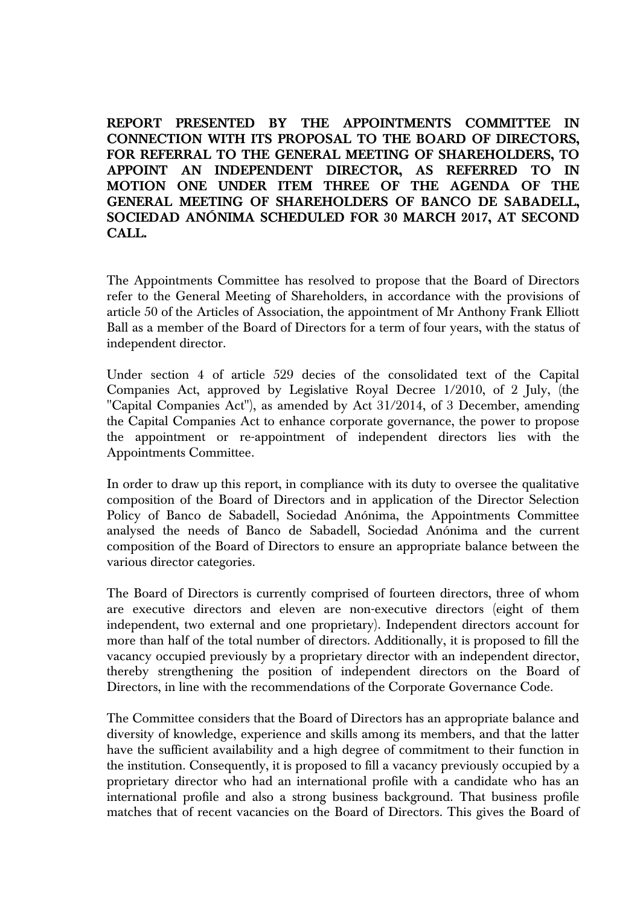**REPORT PRESENTED BY THE APPOINTMENTS COMMITTEE IN CONNECTION WITH ITS PROPOSAL TO THE BOARD OF DIRECTORS, FOR REFERRAL TO THE GENERAL MEETING OF SHAREHOLDERS, TO APPOINT AN INDEPENDENT DIRECTOR, AS REFERRED TO IN MOTION ONE UNDER ITEM THREE OF THE AGENDA OF THE GENERAL MEETING OF SHAREHOLDERS OF BANCO DE SABADELL, SOCIEDAD ANÓNIMA SCHEDULED FOR 30 MARCH 2017, AT SECOND CALL.** 

The Appointments Committee has resolved to propose that the Board of Directors refer to the General Meeting of Shareholders, in accordance with the provisions of article 50 of the Articles of Association, the appointment of Mr Anthony Frank Elliott Ball as a member of the Board of Directors for a term of four years, with the status of independent director.

Under section 4 of article 529 decies of the consolidated text of the Capital Companies Act, approved by Legislative Royal Decree 1/2010, of 2 July, (the "Capital Companies Act"), as amended by Act 31/2014, of 3 December, amending the Capital Companies Act to enhance corporate governance, the power to propose the appointment or re-appointment of independent directors lies with the Appointments Committee.

In order to draw up this report, in compliance with its duty to oversee the qualitative composition of the Board of Directors and in application of the Director Selection Policy of Banco de Sabadell, Sociedad Anónima, the Appointments Committee analysed the needs of Banco de Sabadell, Sociedad Anónima and the current composition of the Board of Directors to ensure an appropriate balance between the various director categories.

The Board of Directors is currently comprised of fourteen directors, three of whom are executive directors and eleven are non-executive directors (eight of them independent, two external and one proprietary). Independent directors account for more than half of the total number of directors. Additionally, it is proposed to fill the vacancy occupied previously by a proprietary director with an independent director, thereby strengthening the position of independent directors on the Board of Directors, in line with the recommendations of the Corporate Governance Code.

The Committee considers that the Board of Directors has an appropriate balance and diversity of knowledge, experience and skills among its members, and that the latter have the sufficient availability and a high degree of commitment to their function in the institution. Consequently, it is proposed to fill a vacancy previously occupied by a proprietary director who had an international profile with a candidate who has an international profile and also a strong business background. That business profile matches that of recent vacancies on the Board of Directors. This gives the Board of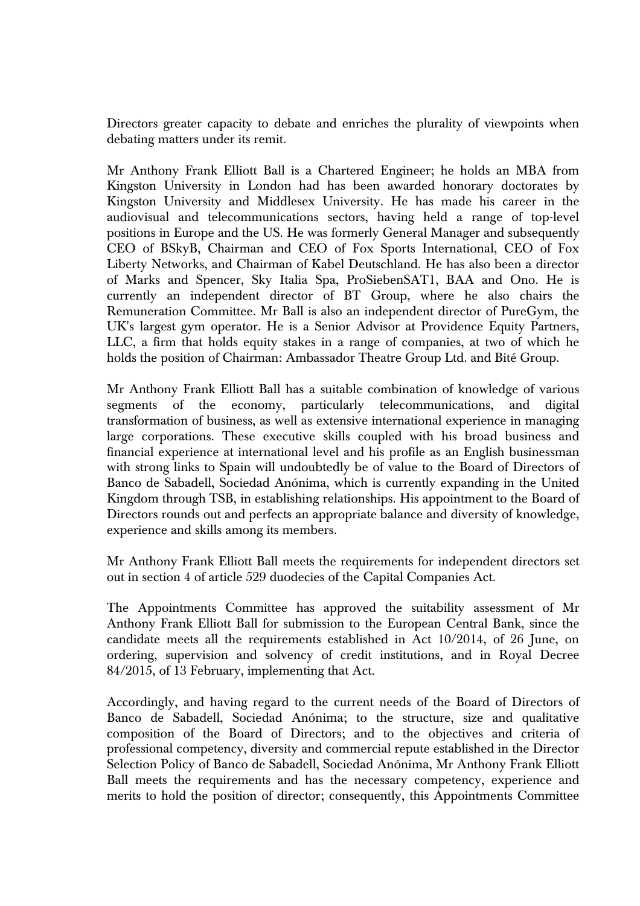Directors greater capacity to debate and enriches the plurality of viewpoints when debating matters under its remit.

Mr Anthony Frank Elliott Ball is a Chartered Engineer; he holds an MBA from Kingston University in London had has been awarded honorary doctorates by Kingston University and Middlesex University. He has made his career in the audiovisual and telecommunications sectors, having held a range of top-level positions in Europe and the US. He was formerly General Manager and subsequently CEO of BSkyB, Chairman and CEO of Fox Sports International, CEO of Fox Liberty Networks, and Chairman of Kabel Deutschland. He has also been a director of Marks and Spencer, Sky Italia Spa, ProSiebenSAT1, BAA and Ono. He is currently an independent director of BT Group, where he also chairs the Remuneration Committee. Mr Ball is also an independent director of PureGym, the UK's largest gym operator. He is a Senior Advisor at Providence Equity Partners, LLC, a firm that holds equity stakes in a range of companies, at two of which he holds the position of Chairman: Ambassador Theatre Group Ltd. and Bité Group.

Mr Anthony Frank Elliott Ball has a suitable combination of knowledge of various segments of the economy, particularly telecommunications, and digital transformation of business, as well as extensive international experience in managing large corporations. These executive skills coupled with his broad business and financial experience at international level and his profile as an English businessman with strong links to Spain will undoubtedly be of value to the Board of Directors of Banco de Sabadell, Sociedad Anónima, which is currently expanding in the United Kingdom through TSB, in establishing relationships. His appointment to the Board of Directors rounds out and perfects an appropriate balance and diversity of knowledge, experience and skills among its members.

Mr Anthony Frank Elliott Ball meets the requirements for independent directors set out in section 4 of article 529 duodecies of the Capital Companies Act.

The Appointments Committee has approved the suitability assessment of Mr Anthony Frank Elliott Ball for submission to the European Central Bank, since the candidate meets all the requirements established in Act 10/2014, of 26 June, on ordering, supervision and solvency of credit institutions, and in Royal Decree 84/2015, of 13 February, implementing that Act.

Accordingly, and having regard to the current needs of the Board of Directors of Banco de Sabadell, Sociedad Anónima; to the structure, size and qualitative composition of the Board of Directors; and to the objectives and criteria of professional competency, diversity and commercial repute established in the Director Selection Policy of Banco de Sabadell, Sociedad Anónima, Mr Anthony Frank Elliott Ball meets the requirements and has the necessary competency, experience and merits to hold the position of director; consequently, this Appointments Committee